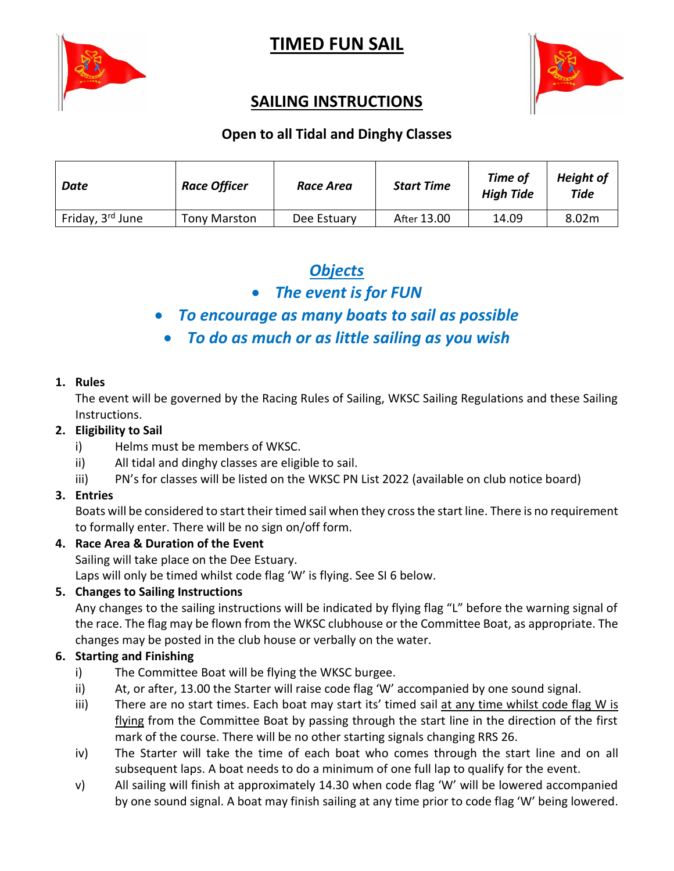

# **TIMED FUN SAIL**



## **SAILING INSTRUCTIONS**

## **Open to all Tidal and Dinghy Classes**

| Date                         | <b>Race Officer</b> | Race Area   | <b>Start Time</b> | <b>Time of</b><br><b>High Tide</b> | <b>Height of</b><br>Tide |
|------------------------------|---------------------|-------------|-------------------|------------------------------------|--------------------------|
| Friday, 3 <sup>rd</sup> June | <b>Tony Marston</b> | Dee Estuary | After 13.00       | 14.09                              | 8.02m                    |

## *Objects*

• *The event is for FUN*

## • *To encourage as many boats to sail as possible*

• *To do as much or as little sailing as you wish*

#### **1. Rules**

The event will be governed by the Racing Rules of Sailing, WKSC Sailing Regulations and these Sailing Instructions.

#### **2. Eligibility to Sail**

- i) Helms must be members of WKSC.
- ii) All tidal and dinghy classes are eligible to sail.
- iii) PN's for classes will be listed on the WKSC PN List 2022 (available on club notice board)

## **3. Entries**

Boats will be considered to start their timed sail when they cross the start line. There is no requirement to formally enter. There will be no sign on/off form.

#### **4. Race Area & Duration of the Event**

Sailing will take place on the Dee Estuary.

Laps will only be timed whilst code flag 'W' is flying. See SI 6 below.

## **5. Changes to Sailing Instructions**

Any changes to the sailing instructions will be indicated by flying flag "L" before the warning signal of the race. The flag may be flown from the WKSC clubhouse or the Committee Boat, as appropriate. The changes may be posted in the club house or verbally on the water.

## **6. Starting and Finishing**

- i) The Committee Boat will be flying the WKSC burgee.
- ii) At, or after, 13.00 the Starter will raise code flag 'W' accompanied by one sound signal.
- iii) There are no start times. Each boat may start its' timed sail at any time whilst code flag W is flying from the Committee Boat by passing through the start line in the direction of the first mark of the course. There will be no other starting signals changing RRS 26.
- iv) The Starter will take the time of each boat who comes through the start line and on all subsequent laps. A boat needs to do a minimum of one full lap to qualify for the event.
- v) All sailing will finish at approximately 14.30 when code flag 'W' will be lowered accompanied by one sound signal. A boat may finish sailing at any time prior to code flag 'W' being lowered.